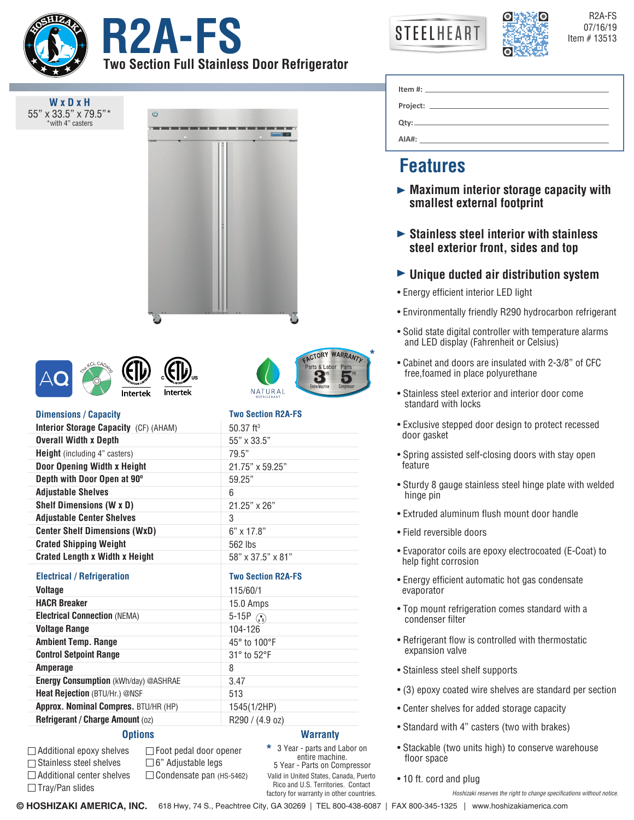

**W x D x H** 55" x 33.5" x 79.5"\* with 4" casters

**PA-FS** STEELHEART **RANGE STEELHEART Two Section Full Stainless Door Refrigerator**

 $\ddot{\circ}$ 



R2A-FS

|                | Item #: $\qquad \qquad$ |  |
|----------------|-------------------------|--|
| Project: _____ |                         |  |
| Qty:           |                         |  |
| AIA#:          |                         |  |

# **Features**

**\***

Labor

- **Maximum interior storage capacity with smallest external footprint**
- **Stainless steel interior with stainless steel exterior front, sides and top**
- **Unique ducted air distribution system**
- Energy efficient interior LED light
- Environmentally friendly R290 hydrocarbon refrigerant
- Solid state digital controller with temperature alarms and LED display (Fahrenheit or Celsius)
- Cabinet and doors are insulated with 2-3/8" of CFC free,foamed in place polyurethane
- Stainless steel exterior and interior door come standard with locks
- Exclusive stepped door design to protect recessed door gasket
- Spring assisted self-closing doors with stay open feature
- Sturdy 8 gauge stainless steel hinge plate with welded hinge pin
- Extruded aluminum flush mount door handle
- Field reversible doors
- Evaporator coils are epoxy electrocoated (E-Coat) to help fight corrosion
- Energy efficient automatic hot gas condensate evaporator
- Top mount refrigeration comes standard with a condenser filter
- Refrigerant flow is controlled with thermostatic expansion valve
- Stainless steel shelf supports
- (3) epoxy coated wire shelves are standard per section
- Center shelves for added storage capacity
- Standard with 4" casters (two with brakes)
- Stackable (two units high) to conserve warehouse floor space
- 10 ft. cord and plug

*Hoshizaki reserves the right to change specifications without notice.*

**ACTORY WARRANTY** NATURA **Two Section R2A-FS**

## **Dimensions / Capacity**

| Dillionolullo / Gupuolty                     | $\sim$ $\sim$ $\sim$ $\sim$ $\sim$ $\sim$ $\sim$ |
|----------------------------------------------|--------------------------------------------------|
| <b>Interior Storage Capacity</b> (CF) (AHAM) | $50.37$ ft <sup>3</sup>                          |
| <b>Overall Width x Depth</b>                 | 55" x 33.5"                                      |
| <b>Height</b> (including 4" casters)         | 79.5"                                            |
| <b>Door Opening Width x Height</b>           | 21.75" x 59.25"                                  |
| Depth with Door Open at 90°                  | 59.25"                                           |
| <b>Adjustable Shelves</b>                    | 6                                                |
| <b>Shelf Dimensions (W x D)</b>              | $21.25" \times 26"$                              |
| <b>Adjustable Center Shelves</b>             | 3                                                |
| <b>Center Shelf Dimensions (WxD)</b>         | $6" \times 17.8"$                                |
| <b>Crated Shipping Weight</b>                | 562 lbs                                          |
| <b>Crated Length x Width x Height</b>        | 58" x 37.5" x 81"                                |
| <b>Electrical / Refrigeration</b>            | <b>Two Section R2A-FS</b>                        |
| Voltage                                      | 115/60/1                                         |
| <b>HACR Breaker</b>                          | 15.0 Amps                                        |
| <b>Electrical Connection (NEMA)</b>          | 5-15P $\binom{5}{1}$                             |
| <b>Voltage Range</b>                         | 104-126                                          |
| <b>Ambient Temp. Range</b>                   | 45° to 100°F                                     |

**Control Setpoint Range Amperage Energy Consumption** (kWh/day) @ASHRAE **Heat Rejection** (BTU/Hr.) @NSF **Approx. Nominal Compres.** BTU/HR (HP) **Refrigerant / Charge Amount** (oz) 31° to 52°F 8 3.47 513 1545(1/2HP) R290 / (4.9 oz)

# **Options**

Additional epoxy shelves □ Stainless steel shelves  $\Box$  Additional center shelves

 $\Box$  Tray/Pan slides

Foot pedal door opener 6" Adjustable legs  $\Box$  Condensate pan (HS-5462) Valid in United States, Canada, Puerto Rico and U.S. Territories. Contact factory for warranty in other countries. **Warranty** 3 Year - parts and Labor on entire machine. 5 Year - Parts on Compressor **\***

**© HOSHIZAKI AMERICA, INC.** 618 Hwy, 74 S., Peachtree City, GA 30269 | TEL 800-438-6087 | FAX 800-345-1325 | www.hoshizakiamerica.com